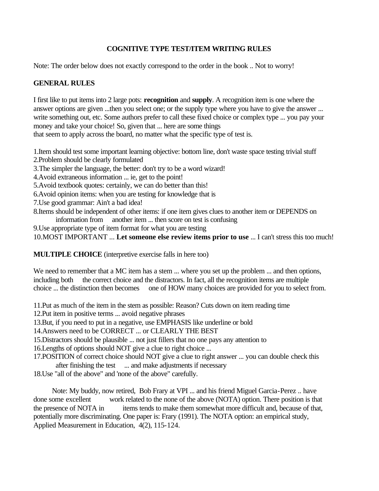#### **COGNITIVE TYPE TEST/ITEM WRITING RULES**

Note: The order below does not exactly correspond to the order in the book .. Not to worry!

#### **GENERAL RULES**

I first like to put items into 2 large pots: **recognition** and **supply**. A recognition item is one where the answer options are given ...then you select one; or the supply type where you have to give the answer ... write something out, etc. Some authors prefer to call these fixed choice or complex type ... you pay your money and take your choice! So, given that ... here are some things that seem to apply across the board, no matter what the specific type of test is.

1.Item should test some important learning objective: bottom line, don't waste space testing trivial stuff 2.Problem should be clearly formulated

- 3.The simpler the language, the better: don't try to be a word wizard!
- 4.Avoid extraneous information ... ie, get to the point!
- 5.Avoid textbook quotes: certainly, we can do better than this!
- 6.Avoid opinion items: when you are testing for knowledge that is
- 7.Use good grammar: Ain't a bad idea!
- 8.Items should be independent of other items: if one item gives clues to another item or DEPENDS on information from another item ... then score on test is confusing
- 9.Use appropriate type of item format for what you are testing

10.MOST IMPORTANT ... **Let someone else review items prior to use** ... I can't stress this too much!

**MULTIPLE CHOICE** (interpretive exercise falls in here too)

We need to remember that a MC item has a stem ... where you set up the problem ... and then options, including both the correct choice and the distractors. In fact, all the recognition items are multiple choice ... the distinction then becomes one of HOW many choices are provided for you to select from.

11.Put as much of the item in the stem as possible: Reason? Cuts down on item reading time

12.Put item in positive terms ... avoid negative phrases

13.But, if you need to put in a negative, use EMPHASIS like underline or bold

14.Answers need to be CORRECT ... or CLEARLY THE BEST

15.Distractors should be plausible ... not just fillers that no one pays any attention to

16.Lengths of options should NOT give a clue to right choice ...

17.POSITION of correct choice should NOT give a clue to right answer ... you can double check this after finishing the test ... and make adjustments if necessary

18.Use "all of the above" and 'none of the above" carefully.

 Note: My buddy, now retired, Bob Frary at VPI ... and his friend Miguel Garcia-Perez .. have done some excellent work related to the none of the above (NOTA) option. There position is that the presence of NOTA in items tends to make them somewhat more difficult and, because of that, potentially more discriminating. One paper is: Frary (1991). The NOTA option: an empirical study, Applied Measurement in Education, 4(2), 115-124.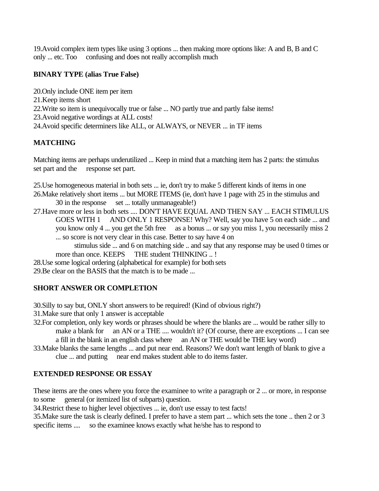19.Avoid complex item types like using 3 options ... then making more options like: A and B, B and C only ... etc. Too confusing and does not really accomplish much

### **BINARY TYPE (alias True False)**

- 20.Only include ONE item per item
- 21.Keep items short
- 22.Write so item is unequivocally true or false ... NO partly true and partly false items!
- 23.Avoid negative wordings at ALL costs!
- 24.Avoid specific determiners like ALL, or ALWAYS, or NEVER ... in TF items

# **MATCHING**

Matching items are perhaps underutilized ... Keep in mind that a matching item has 2 parts: the stimulus set part and the response set part.

25.Use homogeneous material in both sets ... ie, don't try to make 5 different kinds of items in one

- 26.Make relatively short items ... but MORE ITEMS (ie, don't have 1 page with 25 in the stimulus and 30 in the response set ... totally unmanageable!)
- 27.Have more or less in both sets .... DON'T HAVE EQUAL AND THEN SAY ... EACH STIMULUS GOES WITH 1 AND ONLY 1 RESPONSE! Why? Well, say you have 5 on each side ... and you know only 4 ... you get the 5th free as a bonus ... or say you miss 1, you necessarily miss 2 ... so score is not very clear in this case. Better to say have 4 on

 stimulus side ... and 6 on matching side .. and say that any response may be used 0 times or more than once. KEEPS THE student THINKING ..!

28.Use some logical ordering (alphabetical for example) for both sets

29.Be clear on the BASIS that the match is to be made ...

## **SHORT ANSWER OR COMPLETION**

- 30.Silly to say but, ONLY short answers to be required! (Kind of obvious right?)
- 31.Make sure that only 1 answer is acceptable
- 32.For completion, only key words or phrases should be where the blanks are ... would be rather silly to make a blank for an AN or a THE .... wouldn't it? (Of course, there are exceptions ... I can see a fill in the blank in an english class where an AN or THE would be THE key word)
- 33.Make blanks the same lengths ... and put near end. Reasons? We don't want length of blank to give a clue ... and putting near end makes student able to do items faster.

## **EXTENDED RESPONSE OR ESSAY**

These items are the ones where you force the examinee to write a paragraph or 2 ... or more, in response to some general (or itemized list of subparts) question.

34.Restrict these to higher level objectives ... ie, don't use essay to test facts!

35.Make sure the task is clearly defined. I prefer to have a stem part ... which sets the tone .. then 2 or 3 specific items .... so the examinee knows exactly what he/she has to respond to